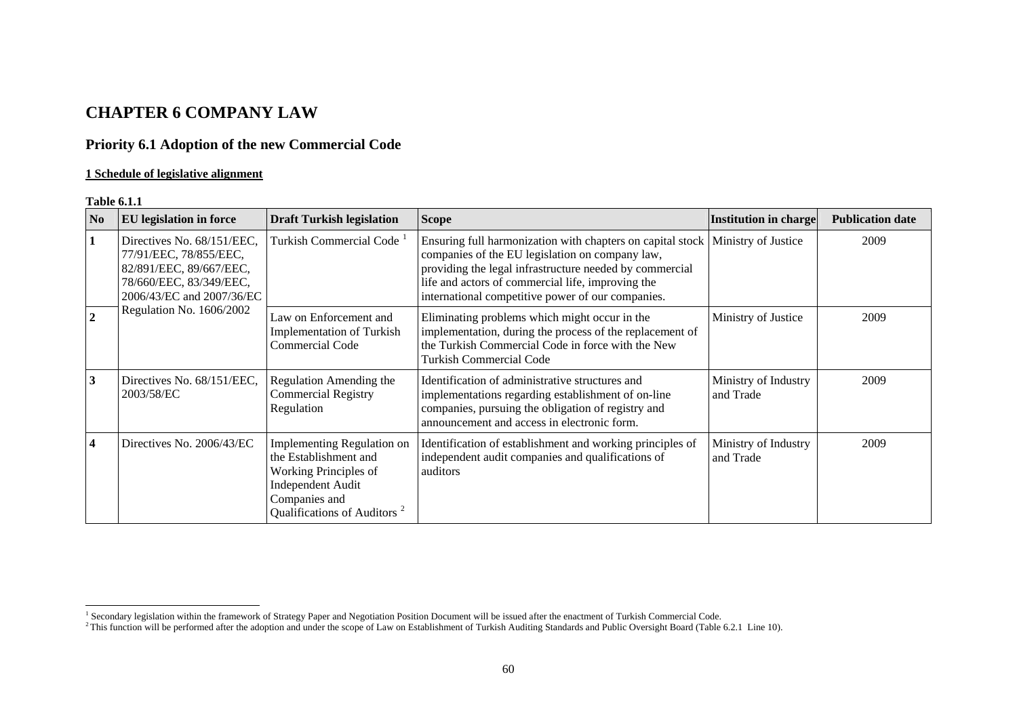# **CHAPTER 6 COMPANY LAW**

# **Priority 6.1 Adoption of the new Commercial Code**

# **1 Schedule of legislative alignment**

#### **Table 6.1.1**

| N <sub>0</sub> | <b>EU</b> legislation in force                                                                                                                                      | <b>Draft Turkish legislation</b>                                                                                                                                            | <b>Scope</b>                                                                                                                                                                                                                                                                       | Institution in charge             | <b>Publication date</b> |
|----------------|---------------------------------------------------------------------------------------------------------------------------------------------------------------------|-----------------------------------------------------------------------------------------------------------------------------------------------------------------------------|------------------------------------------------------------------------------------------------------------------------------------------------------------------------------------------------------------------------------------------------------------------------------------|-----------------------------------|-------------------------|
| $\mathbf{1}$   | Directives No. 68/151/EEC,<br>77/91/EEC, 78/855/EEC,<br>82/891/EEC, 89/667/EEC,<br>78/660/EEC, 83/349/EEC,<br>2006/43/EC and 2007/36/EC<br>Regulation No. 1606/2002 | Turkish Commercial Code <sup>1</sup>                                                                                                                                        | Ensuring full harmonization with chapters on capital stock<br>companies of the EU legislation on company law,<br>providing the legal infrastructure needed by commercial<br>life and actors of commercial life, improving the<br>international competitive power of our companies. | Ministry of Justice               | 2009                    |
| $\overline{2}$ |                                                                                                                                                                     | Law on Enforcement and<br><b>Implementation of Turkish</b><br>Commercial Code                                                                                               | Eliminating problems which might occur in the<br>implementation, during the process of the replacement of<br>the Turkish Commercial Code in force with the New<br>Turkish Commercial Code                                                                                          | Ministry of Justice               | 2009                    |
| 3              | Directives No. 68/151/EEC,<br>2003/58/EC                                                                                                                            | Regulation Amending the<br><b>Commercial Registry</b><br>Regulation                                                                                                         | Identification of administrative structures and<br>implementations regarding establishment of on-line<br>companies, pursuing the obligation of registry and<br>announcement and access in electronic form.                                                                         | Ministry of Industry<br>and Trade | 2009                    |
| $\overline{4}$ | Directives No. 2006/43/EC                                                                                                                                           | <b>Implementing Regulation on</b><br>the Establishment and<br>Working Principles of<br><b>Independent Audit</b><br>Companies and<br>Qualifications of Auditors <sup>2</sup> | Identification of establishment and working principles of<br>independent audit companies and qualifications of<br>auditors                                                                                                                                                         | Ministry of Industry<br>and Trade | 2009                    |

<span id="page-0-1"></span><span id="page-0-0"></span><sup>&</sup>lt;sup>1</sup> Secondary legislation within the framework of Strategy Paper and Negotiation Position Document will be issued after the enactment of Turkish Commercial Code.

<sup>&</sup>lt;sup>2</sup> This function will be performed after the adoption and under the scope of Law on Establishment of Turkish Auditing Standards and Public Oversight Board (Table 6.2.1 Line 10).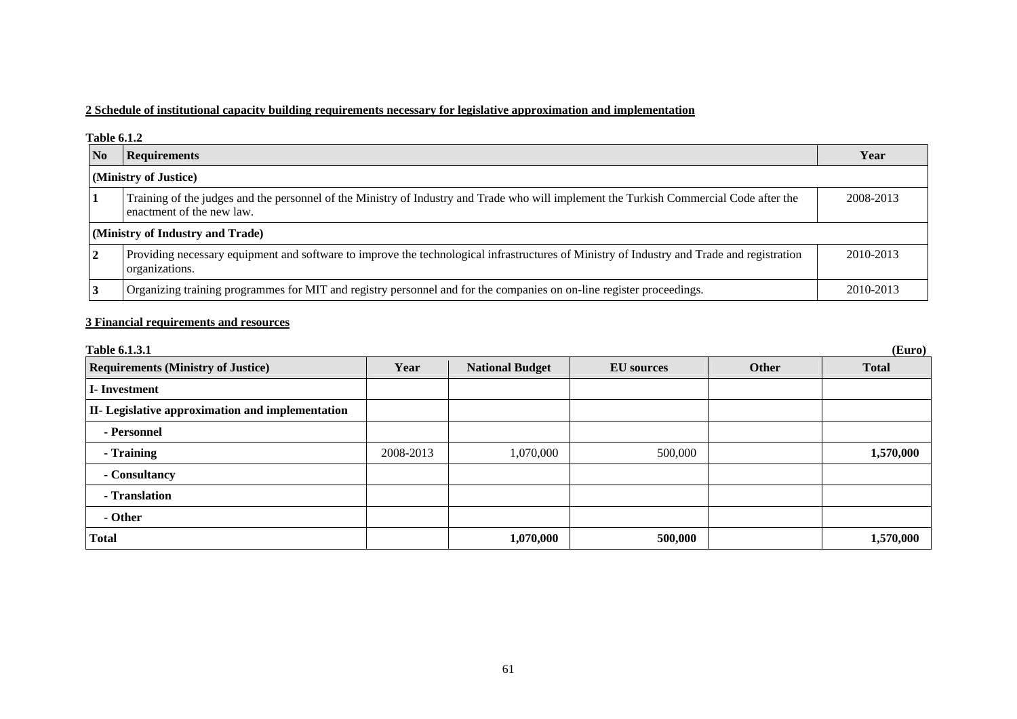# **2 Schedule of institutional capacity building requirements necessary for legislative approximation and implementation**

#### **Table 6.1.2**

| No                    | Requirements                                                                                                                                                         | Year      |  |  |  |
|-----------------------|----------------------------------------------------------------------------------------------------------------------------------------------------------------------|-----------|--|--|--|
| (Ministry of Justice) |                                                                                                                                                                      |           |  |  |  |
|                       | Training of the judges and the personnel of the Ministry of Industry and Trade who will implement the Turkish Commercial Code after the<br>enactment of the new law. | 2008-2013 |  |  |  |
|                       | (Ministry of Industry and Trade)                                                                                                                                     |           |  |  |  |
|                       | Providing necessary equipment and software to improve the technological infrastructures of Ministry of Industry and Trade and registration<br>organizations.         | 2010-2013 |  |  |  |
|                       | Organizing training programmes for MIT and registry personnel and for the companies on on-line register proceedings.                                                 | 2010-2013 |  |  |  |

# **3 Financial requirements and resources**

| <b>Table 6.1.3.1</b><br>(Euro)                   |           |                        |                   |       |              |  |
|--------------------------------------------------|-----------|------------------------|-------------------|-------|--------------|--|
| <b>Requirements (Ministry of Justice)</b>        | Year      | <b>National Budget</b> | <b>EU</b> sources | Other | <b>Total</b> |  |
| I-Investment                                     |           |                        |                   |       |              |  |
| II- Legislative approximation and implementation |           |                        |                   |       |              |  |
| - Personnel                                      |           |                        |                   |       |              |  |
| - Training                                       | 2008-2013 | 1,070,000              | 500,000           |       | 1,570,000    |  |
| - Consultancy                                    |           |                        |                   |       |              |  |
| - Translation                                    |           |                        |                   |       |              |  |
| - Other                                          |           |                        |                   |       |              |  |
| <b>Total</b>                                     |           | 1,070,000              | 500,000           |       | 1,570,000    |  |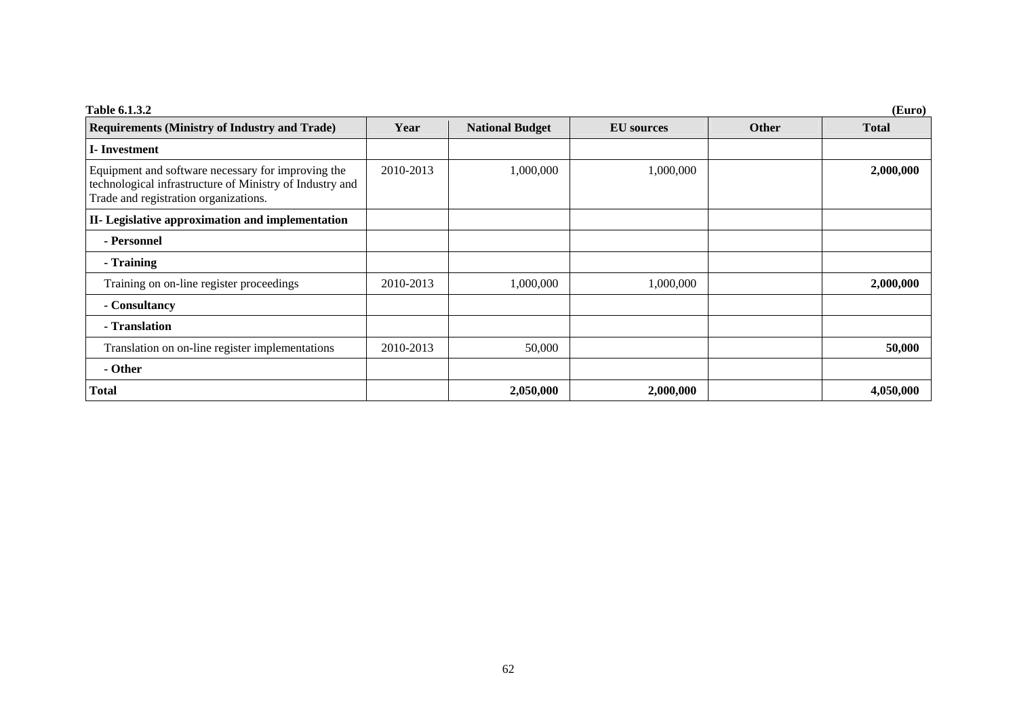| Table 6.1.3.2                                                                                                                                           | (Euro)    |                        |                   |              |              |  |  |  |
|---------------------------------------------------------------------------------------------------------------------------------------------------------|-----------|------------------------|-------------------|--------------|--------------|--|--|--|
| <b>Requirements (Ministry of Industry and Trade)</b>                                                                                                    | Year      | <b>National Budget</b> | <b>EU</b> sources | <b>Other</b> | <b>Total</b> |  |  |  |
| I-Investment                                                                                                                                            |           |                        |                   |              |              |  |  |  |
| Equipment and software necessary for improving the<br>technological infrastructure of Ministry of Industry and<br>Trade and registration organizations. | 2010-2013 | 1,000,000              | 1,000,000         |              | 2,000,000    |  |  |  |
| II- Legislative approximation and implementation                                                                                                        |           |                        |                   |              |              |  |  |  |
| - Personnel                                                                                                                                             |           |                        |                   |              |              |  |  |  |
| - Training                                                                                                                                              |           |                        |                   |              |              |  |  |  |
| Training on on-line register proceedings                                                                                                                | 2010-2013 | 1,000,000              | 1,000,000         |              | 2,000,000    |  |  |  |
| - Consultancy                                                                                                                                           |           |                        |                   |              |              |  |  |  |
| - Translation                                                                                                                                           |           |                        |                   |              |              |  |  |  |
| Translation on on-line register implementations                                                                                                         | 2010-2013 | 50,000                 |                   |              | 50,000       |  |  |  |
| - Other                                                                                                                                                 |           |                        |                   |              |              |  |  |  |
| <b>Total</b>                                                                                                                                            |           | 2,050,000              | 2,000,000         |              | 4,050,000    |  |  |  |

62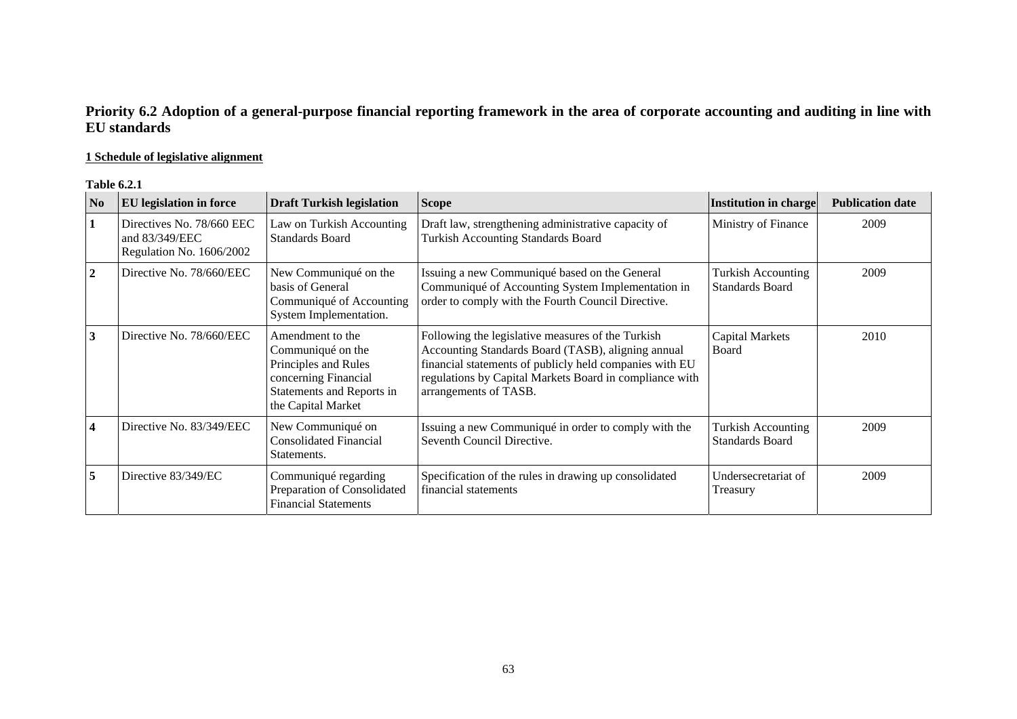# **Priority 6.2 Adoption of a general-purpose financial reporting framework in the area of corporate accounting and auditing in line with EU standards**

# **1 Schedule of legislative alignment**

### **Table 6.2.1**

| N <sub>0</sub> | EU legislation in force                                                 | <b>Draft Turkish legislation</b>                                                                                                         | <b>Scope</b>                                                                                                                                                                                                                                           | <b>Institution in charge</b>                        | <b>Publication date</b> |
|----------------|-------------------------------------------------------------------------|------------------------------------------------------------------------------------------------------------------------------------------|--------------------------------------------------------------------------------------------------------------------------------------------------------------------------------------------------------------------------------------------------------|-----------------------------------------------------|-------------------------|
| 1              | Directives No. 78/660 EEC<br>and 83/349/EEC<br>Regulation No. 1606/2002 | Law on Turkish Accounting<br><b>Standards Board</b>                                                                                      | Draft law, strengthening administrative capacity of<br><b>Turkish Accounting Standards Board</b>                                                                                                                                                       | Ministry of Finance                                 | 2009                    |
| $\overline{2}$ | Directive No. 78/660/EEC                                                | New Communiqué on the<br>basis of General<br>Communiqué of Accounting<br>System Implementation.                                          | Issuing a new Communiqué based on the General<br>Communiqué of Accounting System Implementation in<br>order to comply with the Fourth Council Directive.                                                                                               | <b>Turkish Accounting</b><br><b>Standards Board</b> | 2009                    |
| 3              | Directive No. 78/660/EEC                                                | Amendment to the<br>Communiqué on the<br>Principles and Rules<br>concerning Financial<br>Statements and Reports in<br>the Capital Market | Following the legislative measures of the Turkish<br>Accounting Standards Board (TASB), aligning annual<br>financial statements of publicly held companies with EU<br>regulations by Capital Markets Board in compliance with<br>arrangements of TASB. | <b>Capital Markets</b><br>Board                     | 2010                    |
| 4              | Directive No. 83/349/EEC                                                | New Communiqué on<br><b>Consolidated Financial</b><br>Statements.                                                                        | Issuing a new Communiqué in order to comply with the<br>Seventh Council Directive.                                                                                                                                                                     | <b>Turkish Accounting</b><br><b>Standards Board</b> | 2009                    |
| 5              | Directive 83/349/EC                                                     | Communiqué regarding<br>Preparation of Consolidated<br><b>Financial Statements</b>                                                       | Specification of the rules in drawing up consolidated<br>financial statements                                                                                                                                                                          | Undersecretariat of<br>Treasury                     | 2009                    |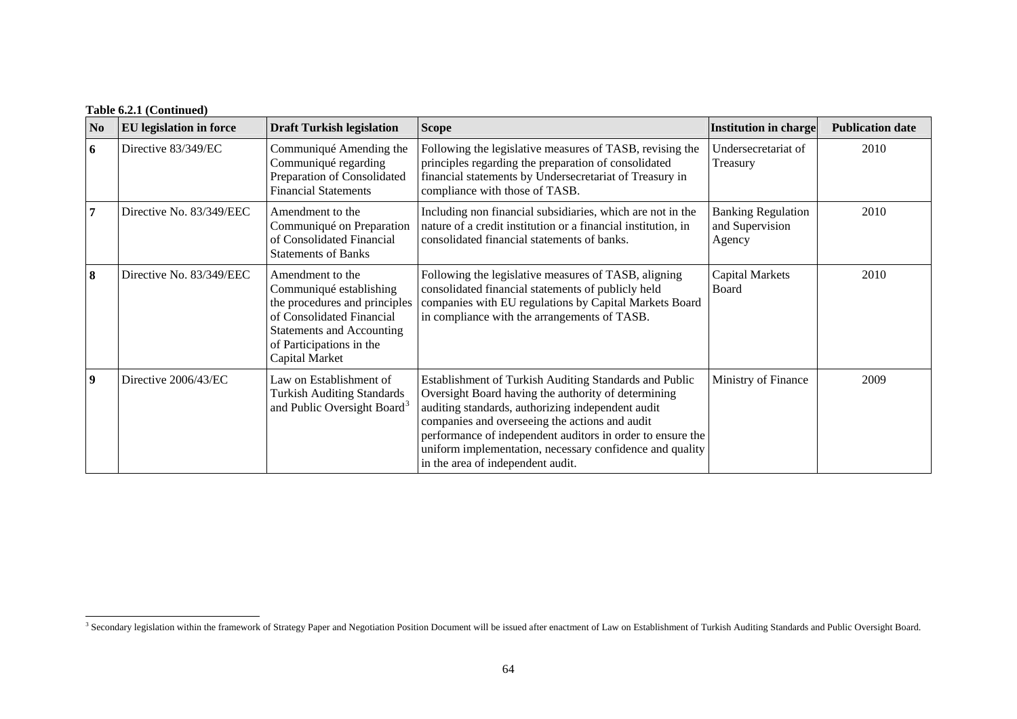# **Table 6.2.1 (Continued)**

| N <sub>0</sub>   | <b>EU</b> legislation in force | <b>Draft Turkish legislation</b>                                                                                                                                                            | <b>Scope</b>                                                                                                                                                                                                                                                                                                                                                                        | Institution in charge                                  | <b>Publication date</b> |
|------------------|--------------------------------|---------------------------------------------------------------------------------------------------------------------------------------------------------------------------------------------|-------------------------------------------------------------------------------------------------------------------------------------------------------------------------------------------------------------------------------------------------------------------------------------------------------------------------------------------------------------------------------------|--------------------------------------------------------|-------------------------|
| 6                | Directive 83/349/EC            | Communiqué Amending the<br>Communiqué regarding<br>Preparation of Consolidated<br><b>Financial Statements</b>                                                                               | Following the legislative measures of TASB, revising the<br>principles regarding the preparation of consolidated<br>financial statements by Undersecretariat of Treasury in<br>compliance with those of TASB.                                                                                                                                                                       | Undersecretariat of<br>Treasury                        | 2010                    |
| 7                | Directive No. 83/349/EEC       | Amendment to the<br>Communiqué on Preparation<br>of Consolidated Financial<br><b>Statements of Banks</b>                                                                                    | Including non financial subsidiaries, which are not in the<br>nature of a credit institution or a financial institution, in<br>consolidated financial statements of banks.                                                                                                                                                                                                          | <b>Banking Regulation</b><br>and Supervision<br>Agency | 2010                    |
| 8                | Directive No. 83/349/EEC       | Amendment to the<br>Communiqué establishing<br>the procedures and principles<br>of Consolidated Financial<br><b>Statements and Accounting</b><br>of Participations in the<br>Capital Market | Following the legislative measures of TASB, aligning<br>consolidated financial statements of publicly held<br>companies with EU regulations by Capital Markets Board<br>in compliance with the arrangements of TASB.                                                                                                                                                                | Capital Markets<br>Board                               | 2010                    |
| $\boldsymbol{9}$ | Directive 2006/43/EC           | Law on Establishment of<br><b>Turkish Auditing Standards</b><br>and Public Oversight Board <sup>3</sup>                                                                                     | Establishment of Turkish Auditing Standards and Public<br>Oversight Board having the authority of determining<br>auditing standards, authorizing independent audit<br>companies and overseeing the actions and audit<br>performance of independent auditors in order to ensure the<br>uniform implementation, necessary confidence and quality<br>in the area of independent audit. | Ministry of Finance                                    | 2009                    |

<span id="page-4-0"></span><sup>&</sup>lt;sup>3</sup> Secondary legislation within the framework of Strategy Paper and Negotiation Position Document will be issued after enactment of Law on Establishment of Turkish Auditing Standards and Public Oversight Board.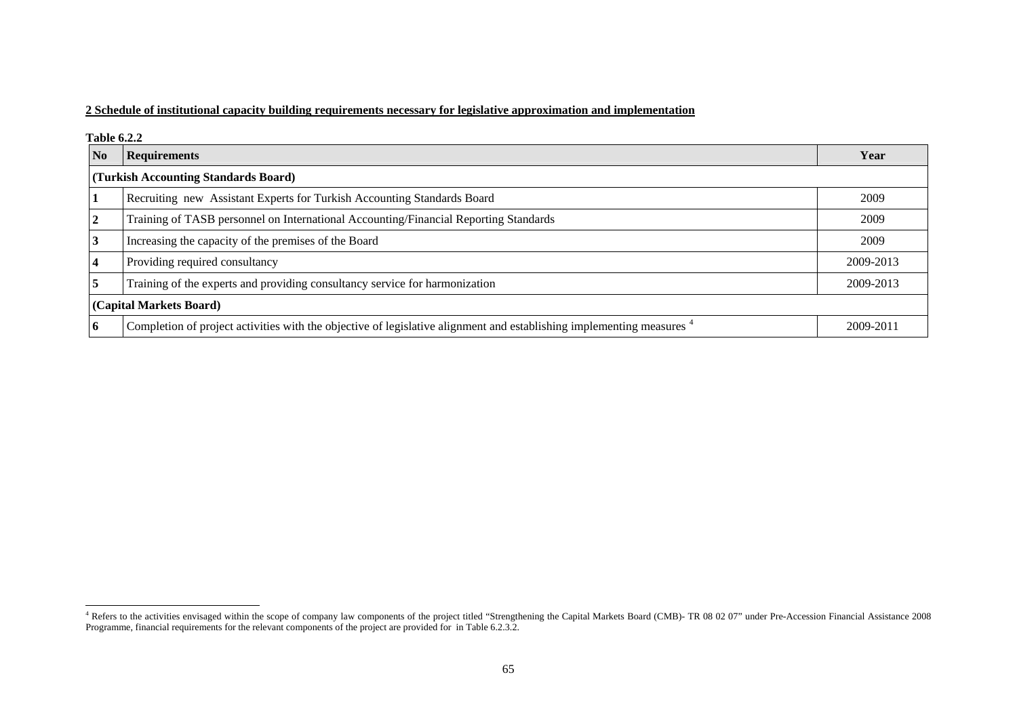## **2 Schedule of institutional capacity building requirements necessary for legislative approximation and implementation**

#### **Table 6.2.2**

| N <sub>o</sub> | <b>Requirements</b>                                                                                                              | Year      |  |  |  |  |
|----------------|----------------------------------------------------------------------------------------------------------------------------------|-----------|--|--|--|--|
|                | (Turkish Accounting Standards Board)                                                                                             |           |  |  |  |  |
|                | Recruiting new Assistant Experts for Turkish Accounting Standards Board                                                          | 2009      |  |  |  |  |
| $\overline{2}$ | Training of TASB personnel on International Accounting/Financial Reporting Standards                                             | 2009      |  |  |  |  |
| 3              | Increasing the capacity of the premises of the Board                                                                             | 2009      |  |  |  |  |
|                | Providing required consultancy                                                                                                   | 2009-2013 |  |  |  |  |
| $\overline{5}$ | Training of the experts and providing consultancy service for harmonization                                                      | 2009-2013 |  |  |  |  |
|                | (Capital Markets Board)                                                                                                          |           |  |  |  |  |
| <b>6</b>       | Completion of project activities with the objective of legislative alignment and establishing implementing measures <sup>4</sup> | 2009-2011 |  |  |  |  |

<span id="page-5-0"></span><sup>&</sup>lt;sup>4</sup> Refers to the activities envisaged within the scope of company law components of the project titled "Strengthening the Capital Markets Board (CMB)- TR 08 02 07" under Pre-Accession Financial Assistance 2008 Programme, financial requirements for the relevant components of the project are provided for in Table 6.2.3.2.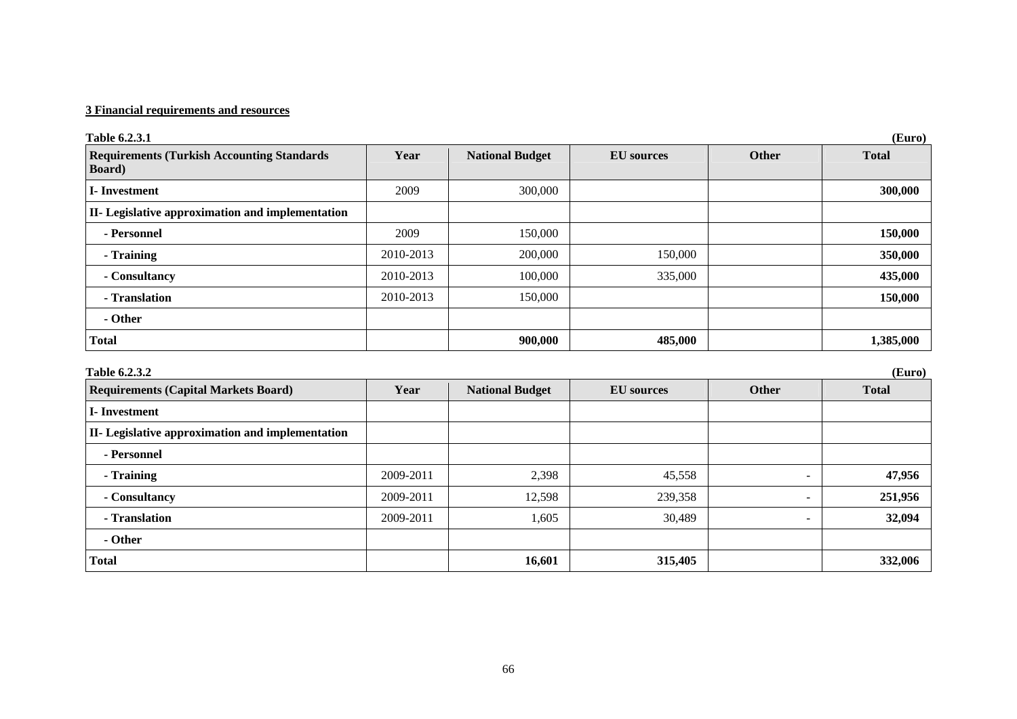# **3 Financial requirements and resources**

| Table 6.2.3.1                                                        |           |                        |                   |                              | (Euro)       |
|----------------------------------------------------------------------|-----------|------------------------|-------------------|------------------------------|--------------|
| <b>Requirements (Turkish Accounting Standards)</b><br><b>Board</b> ) | Year      | <b>National Budget</b> | <b>EU</b> sources | <b>Other</b>                 | <b>Total</b> |
| <b>I-Investment</b>                                                  | 2009      | 300,000                |                   |                              | 300,000      |
| II- Legislative approximation and implementation                     |           |                        |                   |                              |              |
| - Personnel                                                          | 2009      | 150,000                |                   |                              | 150,000      |
| - Training                                                           | 2010-2013 | 200,000                | 150,000           |                              | 350,000      |
| - Consultancy                                                        | 2010-2013 | 100,000                | 335,000           |                              | 435,000      |
| - Translation                                                        | 2010-2013 | 150,000                |                   |                              | 150,000      |
| - Other                                                              |           |                        |                   |                              |              |
| <b>Total</b>                                                         |           | 900,000                | 485,000           |                              | 1,385,000    |
| Table 6.2.3.2                                                        |           |                        |                   |                              | (Euro)       |
| <b>Requirements (Capital Markets Board)</b>                          | Year      | <b>National Budget</b> | <b>EU</b> sources | <b>Other</b>                 | <b>Total</b> |
| <b>I</b> -Investment                                                 |           |                        |                   |                              |              |
| II- Legislative approximation and implementation                     |           |                        |                   |                              |              |
| - Personnel                                                          |           |                        |                   |                              |              |
| - Training                                                           | 2009-2011 | 2,398                  | 45,558            | $\qquad \qquad -$            | 47,956       |
| - Consultancy                                                        | 2009-2011 | 12,598                 | 239,358           | -                            | 251,956      |
| - Translation                                                        | 2009-2011 | 1,605                  | 30,489            | $\qquad \qquad \blacksquare$ | 32,094       |
| - Other                                                              |           |                        |                   |                              |              |
| <b>Total</b>                                                         |           | 16,601                 | 315,405           |                              | 332,006      |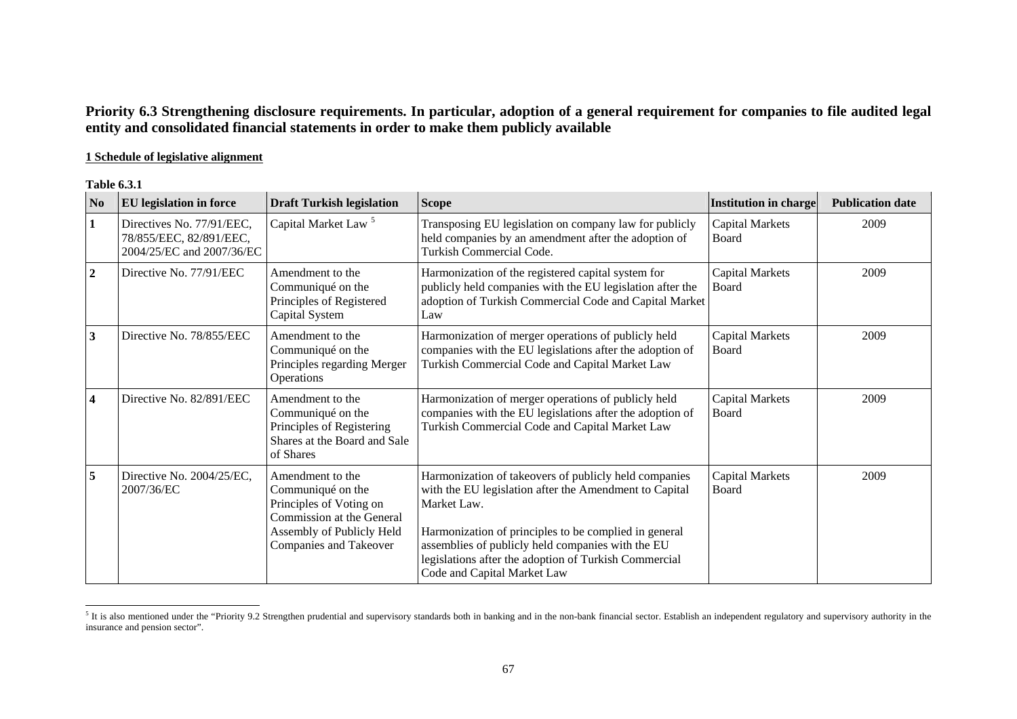# **Priority 6.3 Strengthening disclosure requirements. In particular, adoption of a general requirement for companies to file audited legal entity and consolidated financial statements in order to make them publicly available**

# **1 Schedule of legislative alignment**

| N <sub>o</sub>          | EU legislation in force                                                           | <b>Draft Turkish legislation</b>                                                                                                                     | <b>Scope</b>                                                                                                                                                                                                                                                                                                                         | <b>Institution in charge</b>    | <b>Publication date</b> |
|-------------------------|-----------------------------------------------------------------------------------|------------------------------------------------------------------------------------------------------------------------------------------------------|--------------------------------------------------------------------------------------------------------------------------------------------------------------------------------------------------------------------------------------------------------------------------------------------------------------------------------------|---------------------------------|-------------------------|
| $\mathbf{1}$            | Directives No. 77/91/EEC,<br>78/855/EEC, 82/891/EEC,<br>2004/25/EC and 2007/36/EC | Capital Market Law <sup>5</sup>                                                                                                                      | Transposing EU legislation on company law for publicly<br>held companies by an amendment after the adoption of<br><b>Turkish Commercial Code.</b>                                                                                                                                                                                    | <b>Capital Markets</b><br>Board | 2009                    |
| $\overline{2}$          | Directive No. 77/91/EEC                                                           | Amendment to the<br>Communiqué on the<br>Principles of Registered<br>Capital System                                                                  | Harmonization of the registered capital system for<br>publicly held companies with the EU legislation after the<br>adoption of Turkish Commercial Code and Capital Market<br>Law                                                                                                                                                     | <b>Capital Markets</b><br>Board | 2009                    |
| $\mathbf{3}$            | Directive No. 78/855/EEC                                                          | Amendment to the<br>Communiqué on the<br>Principles regarding Merger<br>Operations                                                                   | Harmonization of merger operations of publicly held<br>companies with the EU legislations after the adoption of<br>Turkish Commercial Code and Capital Market Law                                                                                                                                                                    | <b>Capital Markets</b><br>Board | 2009                    |
| $\overline{\mathbf{4}}$ | Directive No. 82/891/EEC                                                          | Amendment to the<br>Communiqué on the<br>Principles of Registering<br>Shares at the Board and Sale<br>of Shares                                      | Harmonization of merger operations of publicly held<br>companies with the EU legislations after the adoption of<br>Turkish Commercial Code and Capital Market Law                                                                                                                                                                    | <b>Capital Markets</b><br>Board | 2009                    |
| 5                       | Directive No. 2004/25/EC,<br>2007/36/EC                                           | Amendment to the<br>Communiqué on the<br>Principles of Voting on<br>Commission at the General<br>Assembly of Publicly Held<br>Companies and Takeover | Harmonization of takeovers of publicly held companies<br>with the EU legislation after the Amendment to Capital<br>Market Law.<br>Harmonization of principles to be complied in general<br>assemblies of publicly held companies with the EU<br>legislations after the adoption of Turkish Commercial<br>Code and Capital Market Law | <b>Capital Markets</b><br>Board | 2009                    |

<span id="page-7-0"></span> $5$  It is also mentioned under the "Priority 9.2 Strengthen prudential and supervisory standards both in banking and in the non-bank financial sector. Establish an independent regulatory and supervisory authority in the insurance and pension sector".